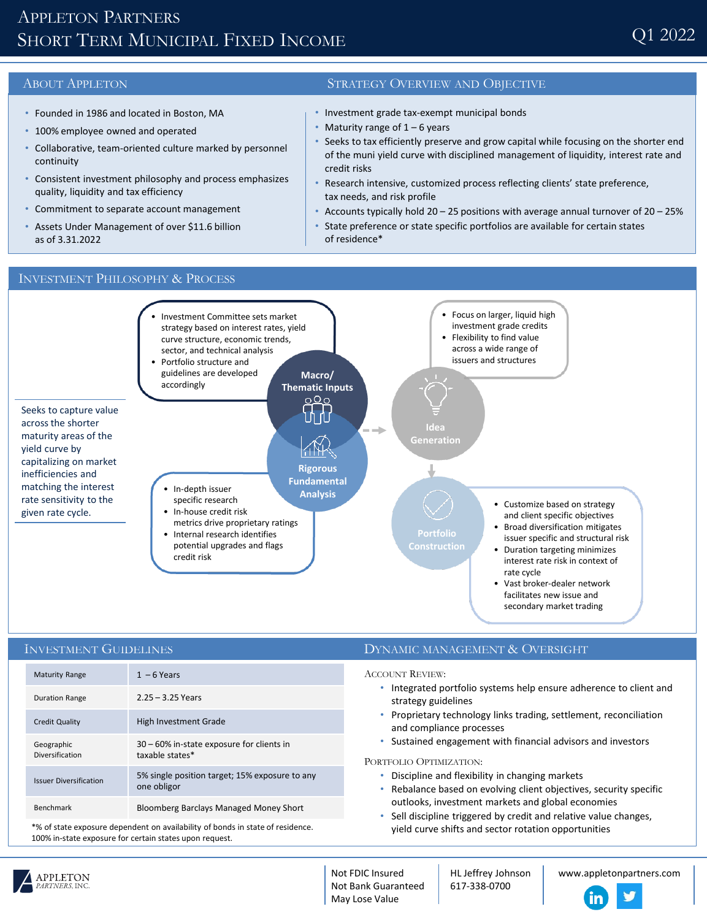# APPLETON PARTNERS SHORT TERM MUNICIPAL FIXED INCOME

- Founded in 1986 and located in Boston, MA
- 100% employee owned and operated
- Collaborative, team-oriented culture marked by personnel continuity
- Consistent investment philosophy and process emphasizes quality, liquidity and tax efficiency
- Commitment to separate account management
- Assets Under Management of over \$11.6 billion as of 3.31.2022

### ABOUT APPLETON STRATEGY OVERVIEW AND OBJECTIVE

- Investment grade tax-exempt municipal bonds
- Maturity range of  $1 6$  years
- Seeks to tax efficiently preserve and grow capital while focusing on the shorter end of the muni yield curve with disciplined management of liquidity, interest rate and credit risks
- Research intensive, customized process reflecting clients' state preference, tax needs, and risk profile
- Accounts typically hold  $20 25$  positions with average annual turnover of  $20 25%$
- State preference or state specific portfolios are available for certain states of residence\*

## INVESTMENT PHILOSOPHY & PROCESS



| <b>INVESTMENT GUIDELINES</b>                                                  |                                                               | DYNAMIC MANAGEMENT & OVERSIGHT                                                                                                                                                                                                                                                                                                                                                                                                                                                                                                                           |
|-------------------------------------------------------------------------------|---------------------------------------------------------------|----------------------------------------------------------------------------------------------------------------------------------------------------------------------------------------------------------------------------------------------------------------------------------------------------------------------------------------------------------------------------------------------------------------------------------------------------------------------------------------------------------------------------------------------------------|
| <b>Maturity Range</b>                                                         | $1 - 6$ Years                                                 | <b>ACCOUNT REVIEW:</b><br>Integrated portfolio systems help ensure adherence to client and<br>strategy guidelines<br>Proprietary technology links trading, settlement, reconciliation<br>and compliance processes<br>Sustained engagement with financial advisors and investors<br>PORTFOLIO OPTIMIZATION:<br>Discipline and flexibility in changing markets<br>Rebalance based on evolving client objectives, security specific<br>outlooks, investment markets and global economies<br>Sell discipline triggered by credit and relative value changes, |
| <b>Duration Range</b>                                                         | $2.25 - 3.25$ Years                                           |                                                                                                                                                                                                                                                                                                                                                                                                                                                                                                                                                          |
| <b>Credit Quality</b>                                                         | High Investment Grade                                         |                                                                                                                                                                                                                                                                                                                                                                                                                                                                                                                                                          |
| Geographic<br><b>Diversification</b>                                          | 30 - 60% in-state exposure for clients in<br>taxable states*  |                                                                                                                                                                                                                                                                                                                                                                                                                                                                                                                                                          |
| <b>Issuer Diversification</b>                                                 | 5% single position target; 15% exposure to any<br>one obligor |                                                                                                                                                                                                                                                                                                                                                                                                                                                                                                                                                          |
| <b>Benchmark</b>                                                              | <b>Bloomberg Barclays Managed Money Short</b>                 |                                                                                                                                                                                                                                                                                                                                                                                                                                                                                                                                                          |
| to of state exposure dependent on availability of bonds in state of residence |                                                               | wield euros chifts and sector retation onnertunities                                                                                                                                                                                                                                                                                                                                                                                                                                                                                                     |

\*% of state exposure dependent on availability of bonds in state of residence. 100% in-state exposure for certain states upon request.

yield curve shifts and sector rotation opportunities



Not FDIC Insured Not Bank Guaranteed May Lose Value

HL Jeffrey Johnson 617-338-0700

www.appletonpartners.com